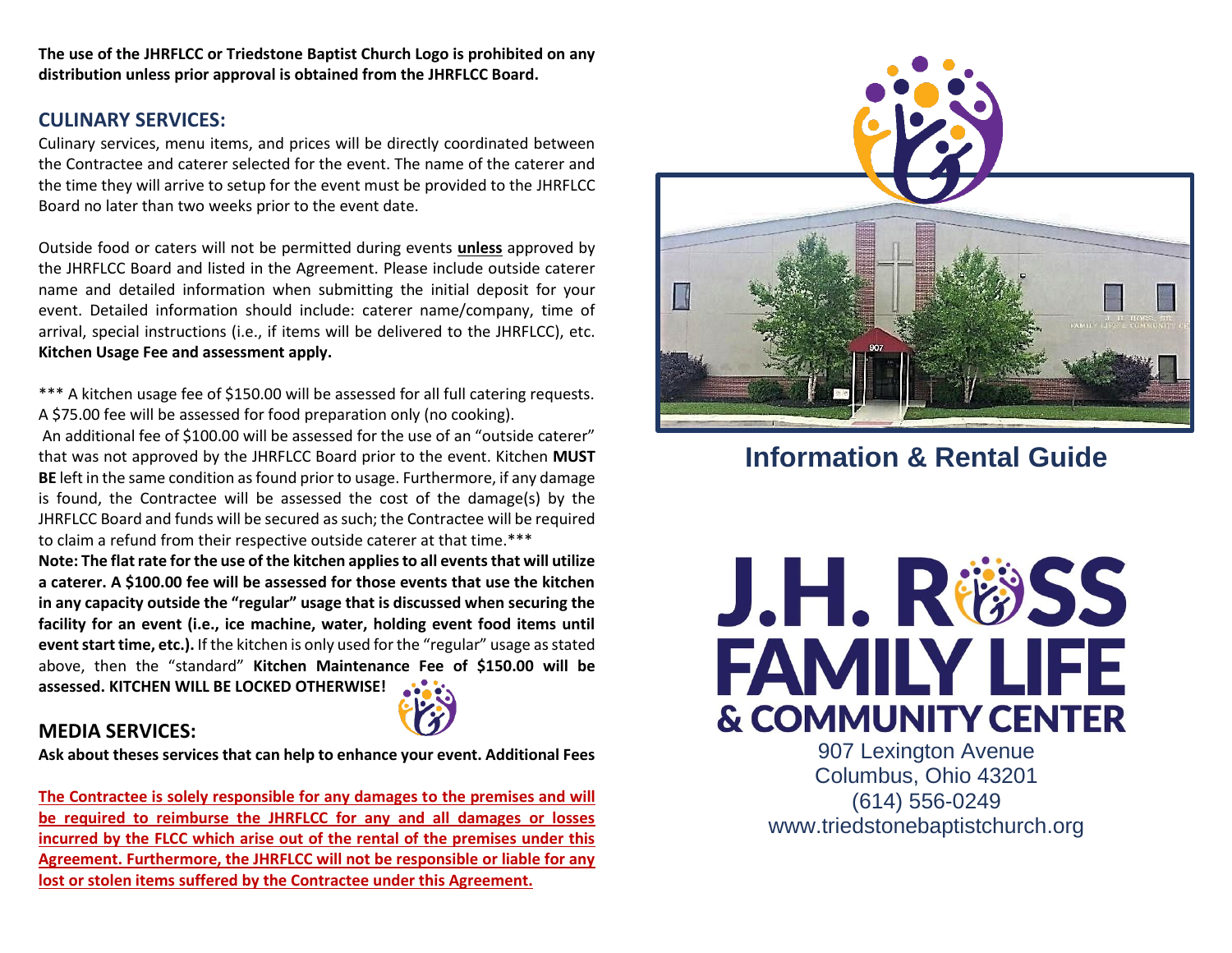**The use of the JHRFLCC or Triedstone Baptist Church Logo is prohibited on any distribution unless prior approval is obtained from the JHRFLCC Board.**

# **CULINARY SERVICES:**

Culinary services, menu items, and prices will be directly coordinated between the Contractee and caterer selected for the event. The name of the caterer and the time they will arrive to setup for the event must be provided to the JHRFLCC Board no later than two weeks prior to the event date.

Outside food or caters will not be permitted during events **unless** approved by the JHRFLCC Board and listed in the Agreement. Please include outside caterer name and detailed information when submitting the initial deposit for your event. Detailed information should include: caterer name/company, time of arrival, special instructions (i.e., if items will be delivered to the JHRFLCC), etc. **Kitchen Usage Fee and assessment apply.**

\*\*\* A kitchen usage fee of \$150.00 will be assessed for all full catering requests. A \$75.00 fee will be assessed for food preparation only (no cooking).

An additional fee of \$100.00 will be assessed for the use of an "outside caterer" that was not approved by the JHRFLCC Board prior to the event. Kitchen **MUST BE** left in the same condition as found prior to usage. Furthermore, if any damage is found, the Contractee will be assessed the cost of the damage(s) by the JHRFLCC Board and funds will be secured as such; the Contractee will be required to claim a refund from their respective outside caterer at that time.\*\*\*

**Note: The flat rate for the use of the kitchen applies to all events that will utilize a caterer. A \$100.00 fee will be assessed for those events that use the kitchen in any capacity outside the "regular" usage that is discussed when securing the facility for an event (i.e., ice machine, water, holding event food items until event start time, etc.).** If the kitchen is only used for the "regular" usage as stated above, then the "standard" **Kitchen Maintenance Fee of \$150.00 will be assessed. KITCHEN WILL BE LOCKED OTHERWISE!**



## **MEDIA SERVICES:**

**Ask about theses services that can help to enhance your event. Additional Fees**

**The Contractee is solely responsible for any damages to the premises and will be required to reimburse the JHRFLCC for any and all damages or losses incurred by the FLCC which arise out of the rental of the premises under this Agreement. Furthermore, the JHRFLCC will not be responsible or liable for any lost or stolen items suffered by the Contractee under this Agreement.**



# **Information & Rental Guide**



907 Lexington Avenue Columbus, Ohio 43201 (614) 556-0249 [www.triedstonebaptistchurch.org](http://www.triedstonebaptistchurch.org/)